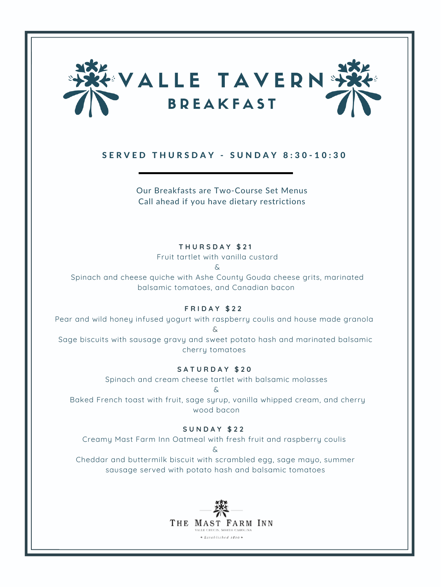

# SERVED THURSDAY - SUNDAY 8:30-10:30

Our Breakfasts are Two-Course Set Menus Call ahead if you have dietary restrictions

# **T H U R S D A Y \$ 2 1**

Fruit tartlet with vanilla custard

&

Spinach and cheese quiche with Ashe County Gouda cheese grits, marinated balsamic tomatoes, and Canadian bacon

# **F R I D A Y \$ 2 2**

Pear and wild honey infused yogurt with raspberry coulis and house made granola  $\delta$ 

Sage biscuits with sausage gravy and sweet potato hash and marinated balsamic cherry tomatoes

# **S A T U R D A Y \$ 2 0**

Spinach and cream cheese tartlet with balsamic molasses

&

Baked French toast with fruit, sage syrup, vanilla whipped cream, and cherry wood bacon

# **S U N D A Y \$ 2 2**

Creamy Mast Farm Inn Oatmeal with fresh fruit and raspberry coulis &

Cheddar and buttermilk biscuit with scrambled egg, sage mayo, summer sausage served with potato hash and balsamic tomatoes

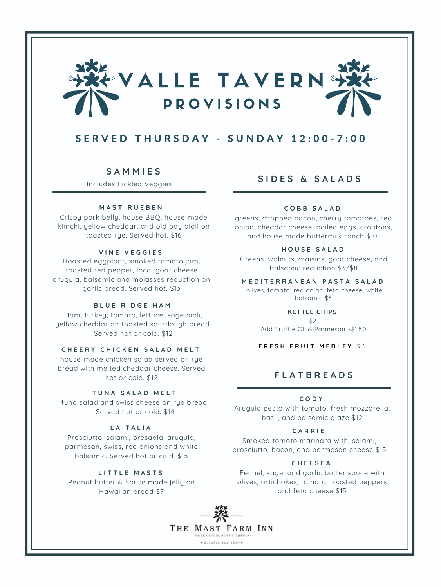

# $S$  E R V E D T H U R S D A Y - S U N D A Y 1 2 : 0 0 - 7 : 0 0

# **S A M M I E S**

Includes Pickled Veggies

#### **M A S T R U E B E N**

Crispy pork belly, house BBQ, house-made kimchi, yellow cheddar, and old bay aioli on toasted rye. Served hot. \$16

#### **V I N E V E G G I E S**

Roasted eggplant, smoked tomato jam, roasted red pepper, local goat cheese arugula, balsamic and molasses reduction on garlic bread. Served hot. \$13

### **B L U E R I D G E H A M**

Ham, turkey, tomato, lettuce, sage aioli, yellow cheddar on toasted sourdough bread. Served hot or cold. \$12

#### **C H E E R Y C H I C K E N S A L A D M E L T**

house-made chicken salad served on rye bread with melted cheddar cheese. Served hot or cold. \$12

# **T U N A S A L A D M E L T**

tuna salad and swiss cheese on rye bread. Served hot or cold. \$14

## **L A T A L I A**

Prosciutto, salami, bresaola, arugula, parmesan, swiss, red onions and white balsamic. Served hot or cold. \$15

**L I T T L E M A S T S** Peanut butter & house made jelly on Hawaiian bread \$7

# **S I D E S & S A L A D S**

# **C O B B S A L A D**

greens, chopped bacon, cherry tomatoes, red onion, cheddar cheese, boiled eggs, croutons, and house made buttermilk ranch \$10

## **H O U S E S A L A D**

Greens, walnuts, craisins, goat cheese, and balsamic reduction \$3/\$8

#### **M E D I T E R R A N E A N P A S T A S A L A D**

olives, tomato, red onion, feta cheese, white balsamic \$5

## **KETTLE CHIPS**

\$2 Add Truffle Oil & Parmesan +\$1.50

**F R E S H F R U I T M E D L E Y** \$ 3

# **F L A T B R E A D S**

#### **C O D Y**

Arugula pesto with tomato, fresh mozzarella, basil, and balsamic glaze \$12

## **C A R R I E**

Smoked tomato marinara with, salami, prosciutto, bacon, and parmesan cheese \$15

#### **C H E L S E A**

Fennel, sage, and garlic butter sauce with olives, artichokes, tomato, roasted peppers and feta cheese \$15

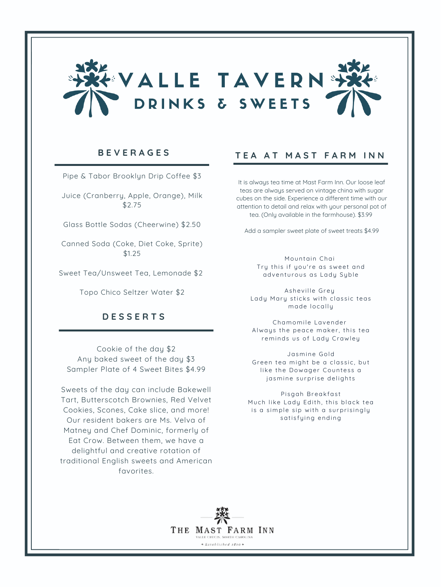

Pipe & Tabor Brooklyn Drip Coffee \$3

Juice (Cranberry, Apple, Orange), Milk \$2.75

Glass Bottle Sodas (Cheerwine) \$2.50

Canned Soda (Coke, Diet Coke, Sprite) \$1.25

Sweet Tea/Unsweet Tea, Lemonade \$2

Topo Chico Seltzer Water \$2

# **D E S S E R T S**

Cookie of the day \$2 Any baked sweet of the day \$3 Sampler Plate of 4 Sweet Bites \$4.99

Sweets of the day can include Bakewell Tart, Butterscotch Brownies, Red Velvet Cookies, Scones, Cake slice, and more! Our resident bakers are Ms. Velva of Matney and Chef Dominic, formerly of Eat Crow. Between them, we have a delightful and creative rotation of traditional English sweets and American favorites.

# **B E V E R A G E S T E A A T M A S T F A R M I N N**

It is always tea time at Mast Farm Inn. Our loose leaf teas are always served on vintage china with sugar cubes on the side. Experience a different time with our attention to detail and relax with your personal pot of tea. (Only available in the farmhouse). \$3.99

Add a sampler sweet plate of sweet treats \$4.99

Mountain Chai Try this if you're as sweet and adventurous as Lady Syble

Asheville Grey Lady Mary sticks with classic teas made locally

Chamomile Lavender Always the peace maker, this tea reminds us of Lady Crawley

Jasmine Gold Green tea might be a classic, but like the Dowager Countess a jasmine surprise delights

Pisgah Breakfast Much like Lady Edith, this black tea is a simple sip with a surprisingly satisfying ending

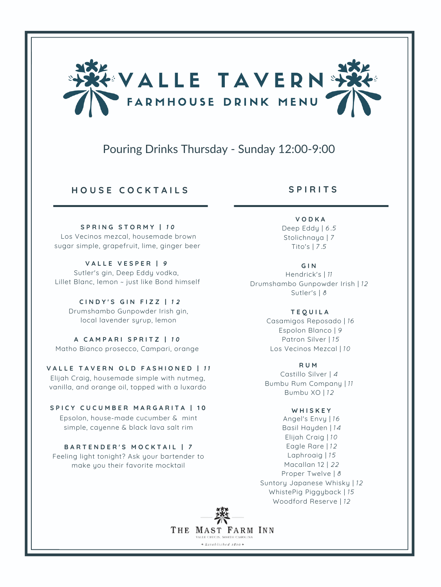

# Pouring Drinks Thursday - Sunday 12:00-9:00

**H O U S E C O C K T A I L S**

**S P R I N G S T O R M Y |** 1 0 Los Vecinos mezcal, housemade brown sugar simple, grapefruit, lime, ginger beer

**V A L L E V E S P E R |** 9 Sutler's gin, Deep Eddy vodka, Lillet Blanc, lemon ~ just like Bond himself

**C I N D Y ' S G I N F I Z Z |** 1 2 Drumshambo Gunpowder Irish gin, local lavender syrup, lemon

**A C A M P A R I S P R I T Z |** 1 0 Matho Bianco prosecco, Campari, orange

**V A L L E T A V E R N O L D F A S H I O N E D |** 1 1 Elijah Craig, housemade simple with nutmeg, vanilla, and orange oil, topped with a luxardo

**S P I C Y C U C U M B E R M A R G A R I T A | 1 0** Epsolon, house-made cucumber & mint simple, cayenne & black lava salt rim

**B A R T E N D E R ' S M O C K T A I L |** 7 Feeling light tonight? Ask your bartender to make you their favorite mocktail

**S P I R I T S**

**V O D K A** Deep Eddy | 6.5 Stolichnaya | 7 Tito's | 7.5

**G I N** Hendrick's | 11 Drumshambo Gunpowder Irish | 12

Sutler's | 8 **T E Q U I L A**

Casamigos Reposado | 16 Espolon Blanco | 9 Patron Silver | 15 Los Vecinos Mezcal | 10

**R U M** Castillo Silver | 4 Bumbu Rum Company | 11 Bumbu XO | 12

**W H I S K E Y** Angel's Envy | 16 Basil Hayden | 14 Elijah Craig | 10 Eagle Rare | 12 Laphroaig | 15 Macallan 12 | 22 Proper Twelve | 8 Suntory Japanese Whisky | 12 WhistePig Piggyback | 15 Woodford Reserve | 12

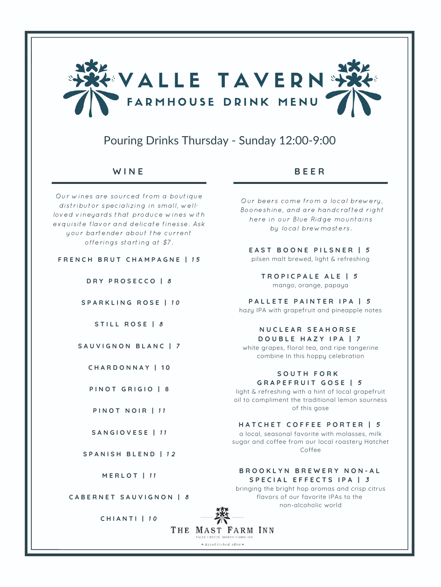

# Pouring Drinks Thursday - Sunday 12:00-9:00

Our wines are sourced from a boutique distributor specializing in small, wellloved vineyards that produce wines with exquisite flavor and delicate finesse. Ask your bartender about the current offerings starting at \$7.

## **F R E N C H B R U T C H A M P A G N E |** 1 5

**D R Y P R O S E C C O |** 8

**S P A R K L I N G R O S E |** 1 0

**S T I L L R O S E |** 8

## **S A U V I G N O N B L A N C |** 7

**C H A R D O N N A Y | 1 0**

**P I N O T G R I G I O | 8**

**S A N G I O V E S E |** 1 1

**S P A N I S H B L E N D |** 1 2

**M E R L O T |** 1 1

**C A B E R N E T S A U V I G N O N |** 8

**C H I A N T I |** 1 0

# **W I N E B E E R**

Our beers come from a local brewery, Booneshine, and are handcrafted right here in our Blue Ridge mountains by local brewmasters.

# **E A S T B O O N E P I L S N E R |** 5

pilsen malt brewed, light & refreshing

**T R O P I C P A L E A L E |** 5 mango, orange, papaya

**P A L L E T E P A I N T E R I P A |** 5 hazy IPA with grapefruit and pineapple notes

#### **N U C L E A R S E A H O R S E D O U B L E H A Z Y I P A |** 7

white grapes, floral tea, and ripe tangerine combine In this hoppy celebration

**S O U T H F O R K G R A P E F R U I T G O S E |** 5

light & refreshing with a hint of local grapefruit oil to compliment the traditional lemon sourness **PINOT NOIR | 11** of this gose

## **H A T C H E T C O F F E E P O R T E R |** 5

a local, seasonal favorite with molasses, milk sugar and coffee from our local roastery Hatchet Coffee

# **B R O O K L Y N B R E W E R Y N O N - A L S P E C I A L E F F E C T S I P A |** 3

bringing the bright hop aromas and crisp citrus flavors of our favorite IPAs to the non-alcoholic world

THE MAST FARM INN ALLE CRUCIS. NORTH CAROL

 $*$ Established 1810  $*$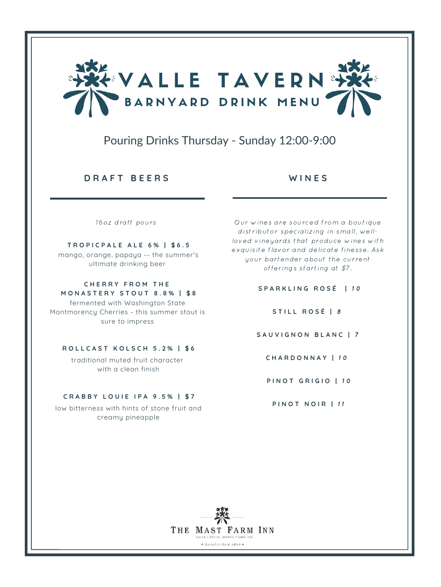

# Pouring Drinks Thursday - Sunday 12:00-9:00

# **D R A F T B E E R S W I N E S**

16oz draft pours

#### **T R O P I C P A L E A L E 6 % | \$ 6 . 5**

mango, orange, papaya -- the summer's ultimate drinking beer

#### **C H E R R Y F R O M T H E M O N A S T E R Y S T O U T 8 . 8 % | \$ 8**

fermented with Washington State Montmorency Cherries - this summer stout is sure to impress

## **R O L L C A S T K O L S C H 5 . 2 % | \$ 6**

traditional muted fruit character with a clean finish

## **C R A B B Y L O U I E I P A 9 . 5 % | \$ 7**

low bitterness with hints of stone fruit and creamy pineapple

Our wines are sourced from a boutique distributor specializing in small, wellloved vineyards that produce wines with exquisite flavor and delicate finesse. Ask your bartender about the current offerings starting at \$7.

**S P A R K L I N G R O S É |** 1 0

**S T I L L R O S É |** 8

**S A U V I G N O N B L A N C |** 7

**C H A R D O N N A Y |** 1 0

**P I N O T G R I G I O |** 1 0

**PINOT NOIR | 11**